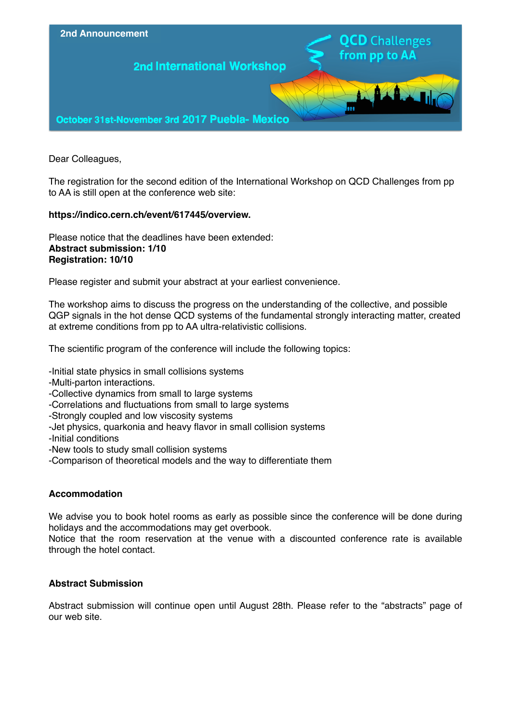

Dear Colleagues,

The registration for the second edition of the International Workshop on QCD Challenges from pp to AA is still open at the conference web site:

# **https://indico.cern.ch/event/617445/overview.**

Please notice that the deadlines have been extended: **Abstract submission: 1/10 Registration: 10/10**

Please register and submit your abstract at your earliest convenience.

The workshop aims to discuss the progress on the understanding of the collective, and possible QGP signals in the hot dense QCD systems of the fundamental strongly interacting matter, created at extreme conditions from pp to AA ultra-relativistic collisions.

The scientific program of the conference will include the following topics:

-Initial state physics in small collisions systems

-Multi-parton interactions.

-Collective dynamics from small to large systems

- -Correlations and fluctuations from small to large systems
- -Strongly coupled and low viscosity systems
- -Jet physics, quarkonia and heavy flavor in small collision systems
- -Initial conditions
- -New tools to study small collision systems
- -Comparison of theoretical models and the way to differentiate them

# **Accommodation**

We advise you to book hotel rooms as early as possible since the conference will be done during holidays and the accommodations may get overbook.

Notice that the room reservation at the venue with a discounted conference rate is available through the hotel contact.

# **Abstract Submission**

Abstract submission will continue open until August 28th. Please refer to the "abstracts" page of our web site.